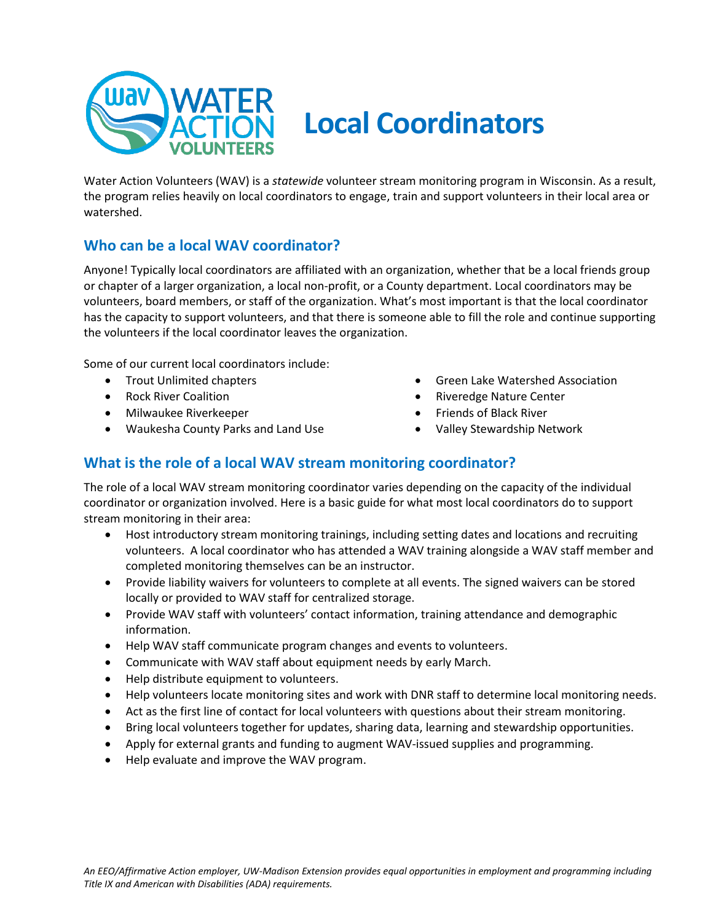

# **Local Coordinators**

Water Action Volunteers (WAV) is a *statewide* volunteer stream monitoring program in Wisconsin. As a result, the program relies heavily on local coordinators to engage, train and support volunteers in their local area or watershed.

## **Who can be a local WAV coordinator?**

Anyone! Typically local coordinators are affiliated with an organization, whether that be a local friends group or chapter of a larger organization, a local non-profit, or a County department. Local coordinators may be volunteers, board members, or staff of the organization. What's most important is that the local coordinator has the capacity to support volunteers, and that there is someone able to fill the role and continue supporting the volunteers if the local coordinator leaves the organization.

Some of our current local coordinators include:

- Trout Unlimited chapters
- Rock River Coalition
- Milwaukee Riverkeeper
- Waukesha County Parks and Land Use
- Green Lake Watershed Association
- Riveredge Nature Center
- Friends of Black River
- Valley Stewardship Network

## **What is the role of a local WAV stream monitoring coordinator?**

The role of a local WAV stream monitoring coordinator varies depending on the capacity of the individual coordinator or organization involved. Here is a basic guide for what most local coordinators do to support stream monitoring in their area:

- Host introductory stream monitoring trainings, including setting dates and locations and recruiting volunteers. A local coordinator who has attended a WAV training alongside a WAV staff member and completed monitoring themselves can be an instructor.
- Provide liability waivers for volunteers to complete at all events. The signed waivers can be stored locally or provided to WAV staff for centralized storage.
- Provide WAV staff with volunteers' contact information, training attendance and demographic information.
- Help WAV staff communicate program changes and events to volunteers.
- Communicate with WAV staff about equipment needs by early March.
- Help distribute equipment to volunteers.
- Help volunteers locate monitoring sites and work with DNR staff to determine local monitoring needs.
- Act as the first line of contact for local volunteers with questions about their stream monitoring.
- Bring local volunteers together for updates, sharing data, learning and stewardship opportunities.
- Apply for external grants and funding to augment WAV-issued supplies and programming.
- Help evaluate and improve the WAV program.